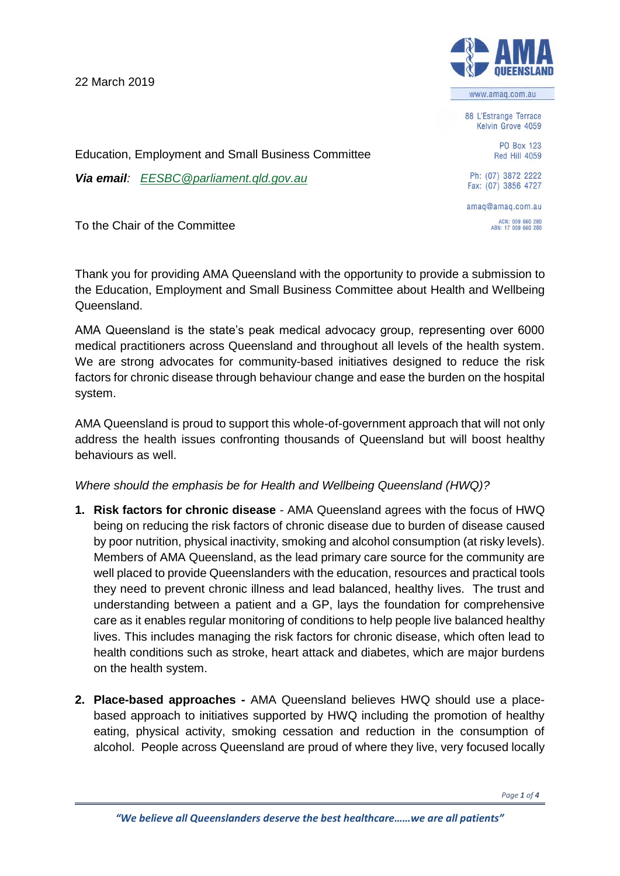22 March 2019



www.amaq.com.au

88 L'Estrange Terrace Kelvin Grove 4059

> **PO Box 123** Red Hill 4059

Ph: (07) 3872 2222 Fax: (07) 3856 4727

amaq@amaq.com.au ACN: 009 660 280<br>ABN: 17 009 660 280

Education, Employment and Small Business Committee

*Via email: [EESBC@parliament.qld.gov.au](mailto:EESBC@parliament.qld.gov.au)*

To the Chair of the Committee

Thank you for providing AMA Queensland with the opportunity to provide a submission to the Education, Employment and Small Business Committee about Health and Wellbeing Queensland.

AMA Queensland is the state's peak medical advocacy group, representing over 6000 medical practitioners across Queensland and throughout all levels of the health system. We are strong advocates for community-based initiatives designed to reduce the risk factors for chronic disease through behaviour change and ease the burden on the hospital system.

AMA Queensland is proud to support this whole-of-government approach that will not only address the health issues confronting thousands of Queensland but will boost healthy behaviours as well.

## *Where should the emphasis be for Health and Wellbeing Queensland (HWQ)?*

- **1. Risk factors for chronic disease** AMA Queensland agrees with the focus of HWQ being on reducing the risk factors of chronic disease due to burden of disease caused by poor nutrition, physical inactivity, smoking and alcohol consumption (at risky levels). Members of AMA Queensland, as the lead primary care source for the community are well placed to provide Queenslanders with the education, resources and practical tools they need to prevent chronic illness and lead balanced, healthy lives. The trust and understanding between a patient and a GP, lays the foundation for comprehensive care as it enables regular monitoring of conditions to help people live balanced healthy lives. This includes managing the risk factors for chronic disease, which often lead to health conditions such as stroke, heart attack and diabetes, which are major burdens on the health system.
- **2. Place-based approaches -** AMA Queensland believes HWQ should use a placebased approach to initiatives supported by HWQ including the promotion of healthy eating, physical activity, smoking cessation and reduction in the consumption of alcohol. People across Queensland are proud of where they live, very focused locally

*Page 1 of 4*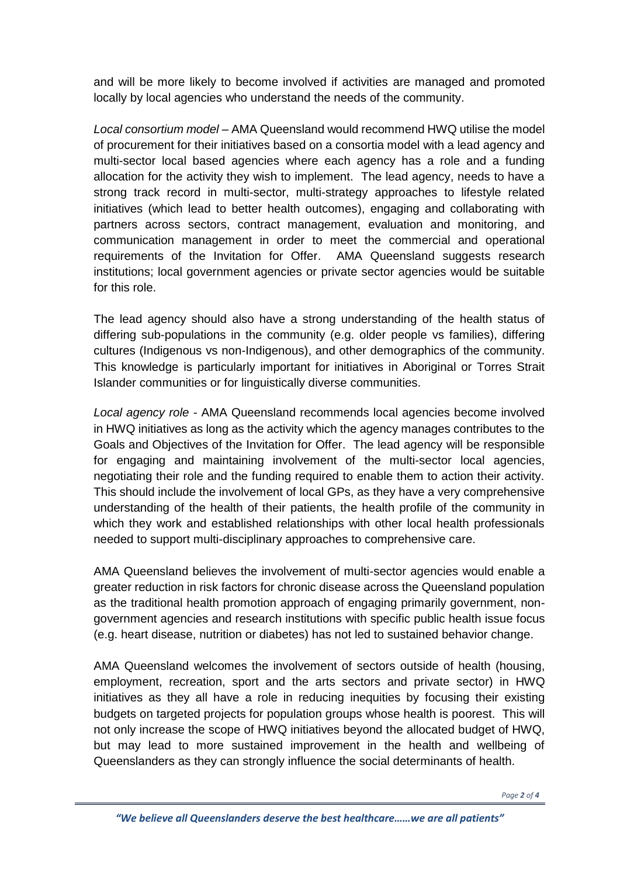and will be more likely to become involved if activities are managed and promoted locally by local agencies who understand the needs of the community.

*Local consortium model* – AMA Queensland would recommend HWQ utilise the model of procurement for their initiatives based on a consortia model with a lead agency and multi-sector local based agencies where each agency has a role and a funding allocation for the activity they wish to implement. The lead agency, needs to have a strong track record in multi-sector, multi-strategy approaches to lifestyle related initiatives (which lead to better health outcomes), engaging and collaborating with partners across sectors, contract management, evaluation and monitoring, and communication management in order to meet the commercial and operational requirements of the Invitation for Offer. AMA Queensland suggests research institutions; local government agencies or private sector agencies would be suitable for this role.

The lead agency should also have a strong understanding of the health status of differing sub-populations in the community (e.g. older people vs families), differing cultures (Indigenous vs non-Indigenous), and other demographics of the community. This knowledge is particularly important for initiatives in Aboriginal or Torres Strait Islander communities or for linguistically diverse communities.

*Local agency role -* AMA Queensland recommends local agencies become involved in HWQ initiatives as long as the activity which the agency manages contributes to the Goals and Objectives of the Invitation for Offer. The lead agency will be responsible for engaging and maintaining involvement of the multi-sector local agencies, negotiating their role and the funding required to enable them to action their activity. This should include the involvement of local GPs, as they have a very comprehensive understanding of the health of their patients, the health profile of the community in which they work and established relationships with other local health professionals needed to support multi-disciplinary approaches to comprehensive care.

AMA Queensland believes the involvement of multi-sector agencies would enable a greater reduction in risk factors for chronic disease across the Queensland population as the traditional health promotion approach of engaging primarily government, nongovernment agencies and research institutions with specific public health issue focus (e.g. heart disease, nutrition or diabetes) has not led to sustained behavior change.

AMA Queensland welcomes the involvement of sectors outside of health (housing, employment, recreation, sport and the arts sectors and private sector) in HWQ initiatives as they all have a role in reducing inequities by focusing their existing budgets on targeted projects for population groups whose health is poorest. This will not only increase the scope of HWQ initiatives beyond the allocated budget of HWQ, but may lead to more sustained improvement in the health and wellbeing of Queenslanders as they can strongly influence the social determinants of health.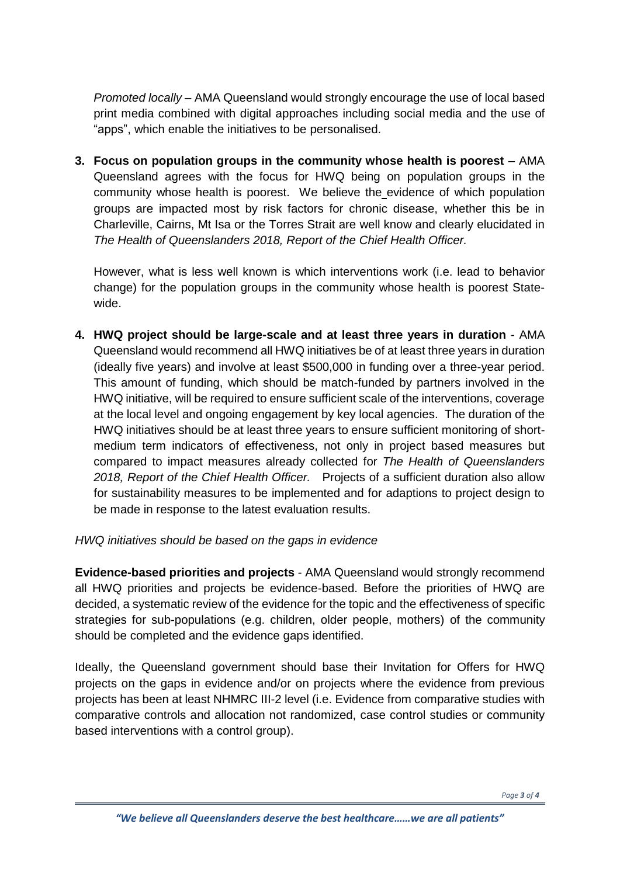*Promoted locally* – AMA Queensland would strongly encourage the use of local based print media combined with digital approaches including social media and the use of "apps", which enable the initiatives to be personalised.

**3. Focus on population groups in the community whose health is poorest** – AMA Queensland agrees with the focus for HWQ being on population groups in the community whose health is poorest. We believe the evidence of which population groups are impacted most by risk factors for chronic disease, whether this be in Charleville, Cairns, Mt Isa or the Torres Strait are well know and clearly elucidated in *The Health of Queenslanders 2018, Report of the Chief Health Officer.* 

However, what is less well known is which interventions work (i.e. lead to behavior change) for the population groups in the community whose health is poorest Statewide.

**4. HWQ project should be large-scale and at least three years in duration** - AMA Queensland would recommend all HWQ initiatives be of at least three years in duration (ideally five years) and involve at least \$500,000 in funding over a three-year period. This amount of funding, which should be match-funded by partners involved in the HWQ initiative, will be required to ensure sufficient scale of the interventions, coverage at the local level and ongoing engagement by key local agencies. The duration of the HWQ initiatives should be at least three years to ensure sufficient monitoring of shortmedium term indicators of effectiveness, not only in project based measures but compared to impact measures already collected for *The Health of Queenslanders 2018, Report of the Chief Health Officer.* Projects of a sufficient duration also allow for sustainability measures to be implemented and for adaptions to project design to be made in response to the latest evaluation results.

## *HWQ initiatives should be based on the gaps in evidence*

**Evidence-based priorities and projects** - AMA Queensland would strongly recommend all HWQ priorities and projects be evidence-based. Before the priorities of HWQ are decided, a systematic review of the evidence for the topic and the effectiveness of specific strategies for sub-populations (e.g. children, older people, mothers) of the community should be completed and the evidence gaps identified.

Ideally, the Queensland government should base their Invitation for Offers for HWQ projects on the gaps in evidence and/or on projects where the evidence from previous projects has been at least NHMRC III-2 level (i.e. Evidence from comparative studies with comparative controls and allocation not randomized, case control studies or community based interventions with a control group).